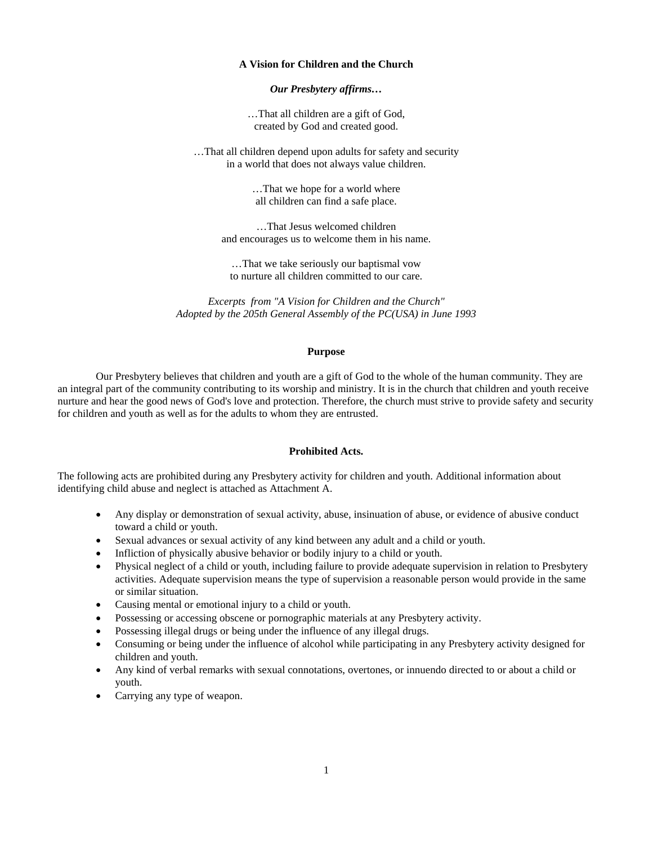#### **A Vision for Children and the Church**

#### *Our Presbytery affirms…*

…That all children are a gift of God, created by God and created good.

…That all children depend upon adults for safety and security in a world that does not always value children.

> …That we hope for a world where all children can find a safe place.

…That Jesus welcomed children and encourages us to welcome them in his name.

…That we take seriously our baptismal vow to nurture all children committed to our care.

*Excerpts from "A Vision for Children and the Church" Adopted by the 205th General Assembly of the PC(USA) in June 1993*

#### **Purpose**

 Our Presbytery believes that children and youth are a gift of God to the whole of the human community. They are an integral part of the community contributing to its worship and ministry. It is in the church that children and youth receive nurture and hear the good news of God's love and protection. Therefore, the church must strive to provide safety and security for children and youth as well as for the adults to whom they are entrusted.

## **Prohibited Acts.**

The following acts are prohibited during any Presbytery activity for children and youth. Additional information about identifying child abuse and neglect is attached as Attachment A.

- Any display or demonstration of sexual activity, abuse, insinuation of abuse, or evidence of abusive conduct toward a child or youth.
- Sexual advances or sexual activity of any kind between any adult and a child or youth.
- Infliction of physically abusive behavior or bodily injury to a child or youth.
- Physical neglect of a child or youth, including failure to provide adequate supervision in relation to Presbytery activities. Adequate supervision means the type of supervision a reasonable person would provide in the same or similar situation.
- Causing mental or emotional injury to a child or youth.
- Possessing or accessing obscene or pornographic materials at any Presbytery activity.
- Possessing illegal drugs or being under the influence of any illegal drugs.
- Consuming or being under the influence of alcohol while participating in any Presbytery activity designed for children and youth.
- Any kind of verbal remarks with sexual connotations, overtones, or innuendo directed to or about a child or youth.
- Carrying any type of weapon.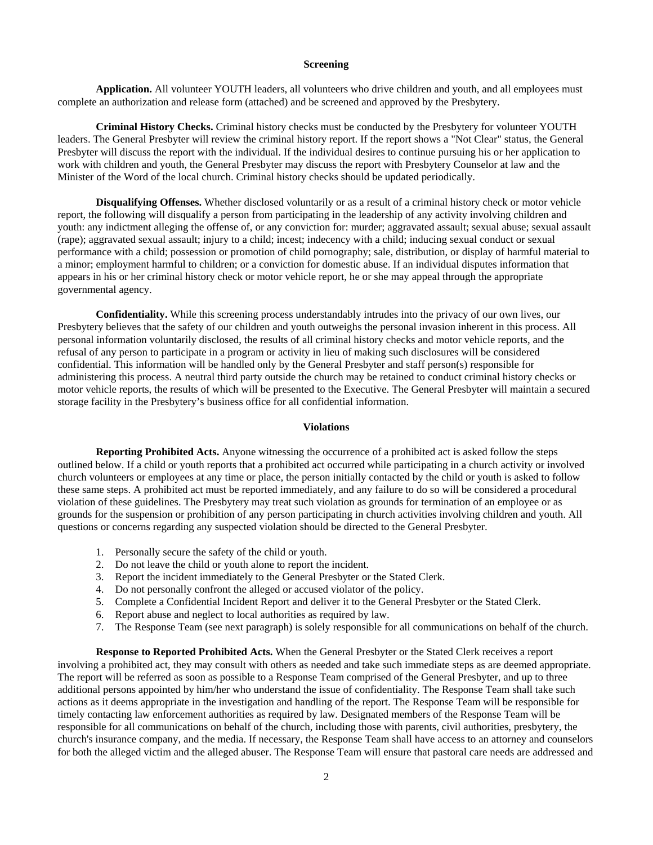#### **Screening**

**Application.** All volunteer YOUTH leaders, all volunteers who drive children and youth, and all employees must complete an authorization and release form (attached) and be screened and approved by the Presbytery.

**Criminal History Checks.** Criminal history checks must be conducted by the Presbytery for volunteer YOUTH leaders. The General Presbyter will review the criminal history report. If the report shows a "Not Clear" status, the General Presbyter will discuss the report with the individual. If the individual desires to continue pursuing his or her application to work with children and youth, the General Presbyter may discuss the report with Presbytery Counselor at law and the Minister of the Word of the local church. Criminal history checks should be updated periodically.

**Disqualifying Offenses.** Whether disclosed voluntarily or as a result of a criminal history check or motor vehicle report, the following will disqualify a person from participating in the leadership of any activity involving children and youth: any indictment alleging the offense of, or any conviction for: murder; aggravated assault; sexual abuse; sexual assault (rape); aggravated sexual assault; injury to a child; incest; indecency with a child; inducing sexual conduct or sexual performance with a child; possession or promotion of child pornography; sale, distribution, or display of harmful material to a minor; employment harmful to children; or a conviction for domestic abuse. If an individual disputes information that appears in his or her criminal history check or motor vehicle report, he or she may appeal through the appropriate governmental agency.

**Confidentiality.** While this screening process understandably intrudes into the privacy of our own lives, our Presbytery believes that the safety of our children and youth outweighs the personal invasion inherent in this process. All personal information voluntarily disclosed, the results of all criminal history checks and motor vehicle reports, and the refusal of any person to participate in a program or activity in lieu of making such disclosures will be considered confidential. This information will be handled only by the General Presbyter and staff person(s) responsible for administering this process. A neutral third party outside the church may be retained to conduct criminal history checks or motor vehicle reports, the results of which will be presented to the Executive. The General Presbyter will maintain a secured storage facility in the Presbytery's business office for all confidential information.

#### **Violations**

**Reporting Prohibited Acts.** Anyone witnessing the occurrence of a prohibited act is asked follow the steps outlined below. If a child or youth reports that a prohibited act occurred while participating in a church activity or involved church volunteers or employees at any time or place, the person initially contacted by the child or youth is asked to follow these same steps. A prohibited act must be reported immediately, and any failure to do so will be considered a procedural violation of these guidelines. The Presbytery may treat such violation as grounds for termination of an employee or as grounds for the suspension or prohibition of any person participating in church activities involving children and youth. All questions or concerns regarding any suspected violation should be directed to the General Presbyter.

- 1. Personally secure the safety of the child or youth.
- 2. Do not leave the child or youth alone to report the incident.
- 3. Report the incident immediately to the General Presbyter or the Stated Clerk.
- 4. Do not personally confront the alleged or accused violator of the policy.
- 5. Complete a Confidential Incident Report and deliver it to the General Presbyter or the Stated Clerk.
- 6. Report abuse and neglect to local authorities as required by law.
- 7. The Response Team (see next paragraph) is solely responsible for all communications on behalf of the church.

**Response to Reported Prohibited Acts.** When the General Presbyter or the Stated Clerk receives a report involving a prohibited act, they may consult with others as needed and take such immediate steps as are deemed appropriate. The report will be referred as soon as possible to a Response Team comprised of the General Presbyter, and up to three additional persons appointed by him/her who understand the issue of confidentiality. The Response Team shall take such actions as it deems appropriate in the investigation and handling of the report. The Response Team will be responsible for timely contacting law enforcement authorities as required by law. Designated members of the Response Team will be responsible for all communications on behalf of the church, including those with parents, civil authorities, presbytery, the church's insurance company, and the media. If necessary, the Response Team shall have access to an attorney and counselors for both the alleged victim and the alleged abuser. The Response Team will ensure that pastoral care needs are addressed and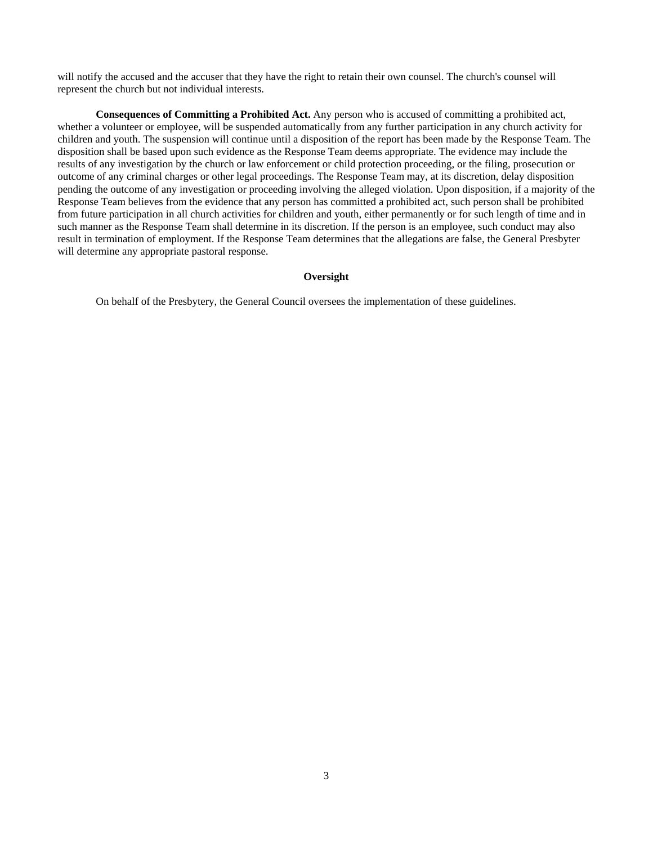will notify the accused and the accuser that they have the right to retain their own counsel. The church's counsel will represent the church but not individual interests.

**Consequences of Committing a Prohibited Act.** Any person who is accused of committing a prohibited act, whether a volunteer or employee, will be suspended automatically from any further participation in any church activity for children and youth. The suspension will continue until a disposition of the report has been made by the Response Team. The disposition shall be based upon such evidence as the Response Team deems appropriate. The evidence may include the results of any investigation by the church or law enforcement or child protection proceeding, or the filing, prosecution or outcome of any criminal charges or other legal proceedings. The Response Team may, at its discretion, delay disposition pending the outcome of any investigation or proceeding involving the alleged violation. Upon disposition, if a majority of the Response Team believes from the evidence that any person has committed a prohibited act, such person shall be prohibited from future participation in all church activities for children and youth, either permanently or for such length of time and in such manner as the Response Team shall determine in its discretion. If the person is an employee, such conduct may also result in termination of employment. If the Response Team determines that the allegations are false, the General Presbyter will determine any appropriate pastoral response.

#### **Oversight**

On behalf of the Presbytery, the General Council oversees the implementation of these guidelines.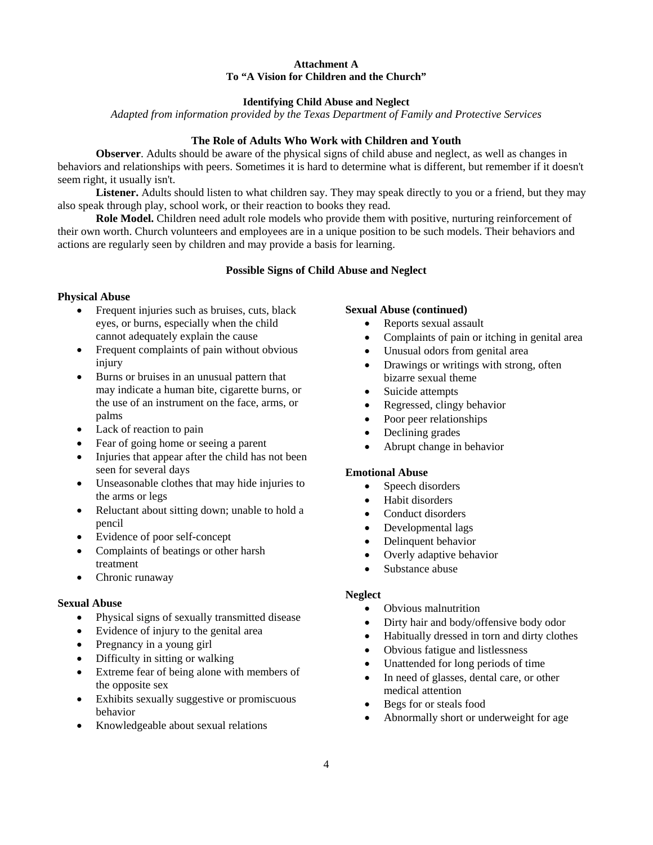# **Attachment A To "A Vision for Children and the Church"**

# **Identifying Child Abuse and Neglect**

*Adapted from information provided by the Texas Department of Family and Protective Services* 

# **The Role of Adults Who Work with Children and Youth**

**Observer**. Adults should be aware of the physical signs of child abuse and neglect, as well as changes in behaviors and relationships with peers. Sometimes it is hard to determine what is different, but remember if it doesn't seem right, it usually isn't.

Listener. Adults should listen to what children say. They may speak directly to you or a friend, but they may also speak through play, school work, or their reaction to books they read.

**Role Model.** Children need adult role models who provide them with positive, nurturing reinforcement of their own worth. Church volunteers and employees are in a unique position to be such models. Their behaviors and actions are regularly seen by children and may provide a basis for learning.

# **Possible Signs of Child Abuse and Neglect**

## **Physical Abuse**

- Frequent injuries such as bruises, cuts, black eyes, or burns, especially when the child cannot adequately explain the cause
- Frequent complaints of pain without obvious injury
- Burns or bruises in an unusual pattern that may indicate a human bite, cigarette burns, or the use of an instrument on the face, arms, or palms
- Lack of reaction to pain
- Fear of going home or seeing a parent
- Injuries that appear after the child has not been seen for several days
- Unseasonable clothes that may hide injuries to the arms or legs
- Reluctant about sitting down; unable to hold a pencil
- Evidence of poor self-concept
- Complaints of beatings or other harsh treatment
- Chronic runaway

### **Sexual Abuse**

- Physical signs of sexually transmitted disease
- Evidence of injury to the genital area
- Pregnancy in a young girl
- Difficulty in sitting or walking
- Extreme fear of being alone with members of the opposite sex
- Exhibits sexually suggestive or promiscuous behavior
- Knowledgeable about sexual relations

### **Sexual Abuse (continued)**

- Reports sexual assault
- Complaints of pain or itching in genital area
- Unusual odors from genital area
- Drawings or writings with strong, often bizarre sexual theme
- Suicide attempts
- Regressed, clingy behavior
- Poor peer relationships
- Declining grades
- Abrupt change in behavior

### **Emotional Abuse**

- Speech disorders
- Habit disorders
- Conduct disorders
- Developmental lags
- Delinquent behavior
- Overly adaptive behavior
- Substance abuse

### **Neglect**

- Obvious malnutrition
- Dirty hair and body/offensive body odor
- Habitually dressed in torn and dirty clothes
- Obvious fatigue and listlessness
- Unattended for long periods of time
- In need of glasses, dental care, or other medical attention
- Begs for or steals food
- Abnormally short or underweight for age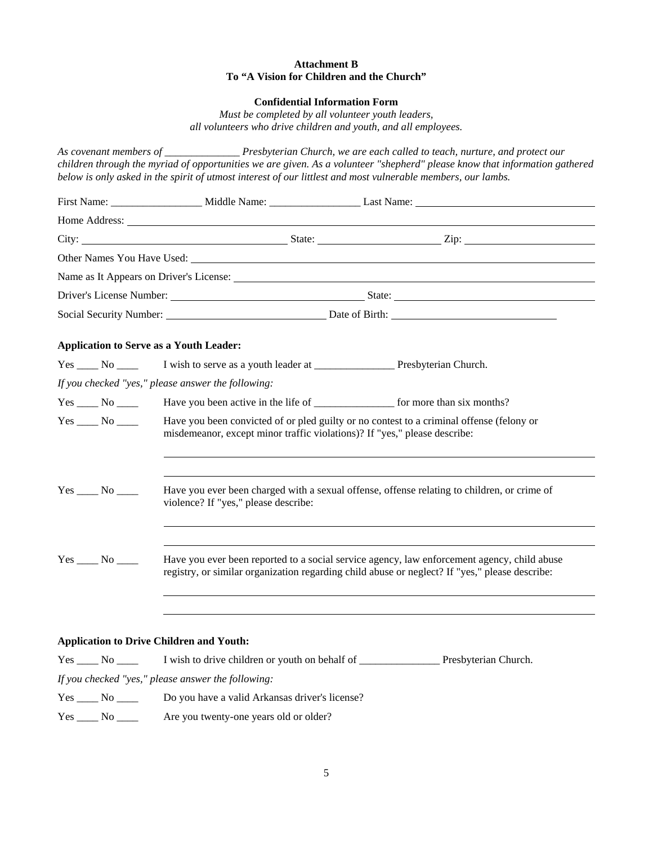# **Attachment B To "A Vision for Children and the Church"**

# **Confidential Information Form**

*Must be completed by all volunteer youth leaders, all volunteers who drive children and youth, and all employees.* 

*As covenant members of \_\_\_\_\_\_\_\_\_\_\_\_\_\_ Presbyterian Church, we are each called to teach, nurture, and protect our children through the myriad of opportunities we are given. As a volunteer "shepherd" please know that information gathered below is only asked in the spirit of utmost interest of our littlest and most vulnerable members, our lambs.* First Name: The Middle Name: Last Name: Last Name: Home Address: City: State: Zip: Other Names You Have Used: Name as It Appears on Driver's License: Driver's License Number: State: Social Security Number: Date of Birth: **Application to Serve as a Youth Leader:** Yes \_\_\_\_ No \_\_\_\_ I wish to serve as a youth leader at \_\_\_\_\_\_\_\_\_\_\_\_\_\_\_\_\_\_\_\_\_\_\_\_\_\_ Presbyterian Church. *If you checked "yes," please answer the following:*  Yes No Have you been active in the life of the for more than six months? Yes \_\_\_\_ No \_\_\_\_ Have you been convicted of or pled guilty or no contest to a criminal offense (felony or misdemeanor, except minor traffic violations)? If "yes," please describe: Yes \_\_\_\_ No \_\_\_\_ Have you ever been charged with a sexual offense, offense relating to children, or crime of violence? If "yes," please describe: Yes No Have you ever been reported to a social service agency, law enforcement agency, child abuse registry, or similar organization regarding child abuse or neglect? If "yes," please describe:

### **Application to Drive Children and Youth:**

| <b>Yes</b>                                         |        | I wish to drive children or youth on behalf of | Presbyterian Church. |  |  |  |  |
|----------------------------------------------------|--------|------------------------------------------------|----------------------|--|--|--|--|
| If you checked "yes," please answer the following: |        |                                                |                      |  |  |  |  |
|                                                    | Yes No | Do you have a valid Arkansas driver's license? |                      |  |  |  |  |
|                                                    | Yes No | Are you twenty-one years old or older?         |                      |  |  |  |  |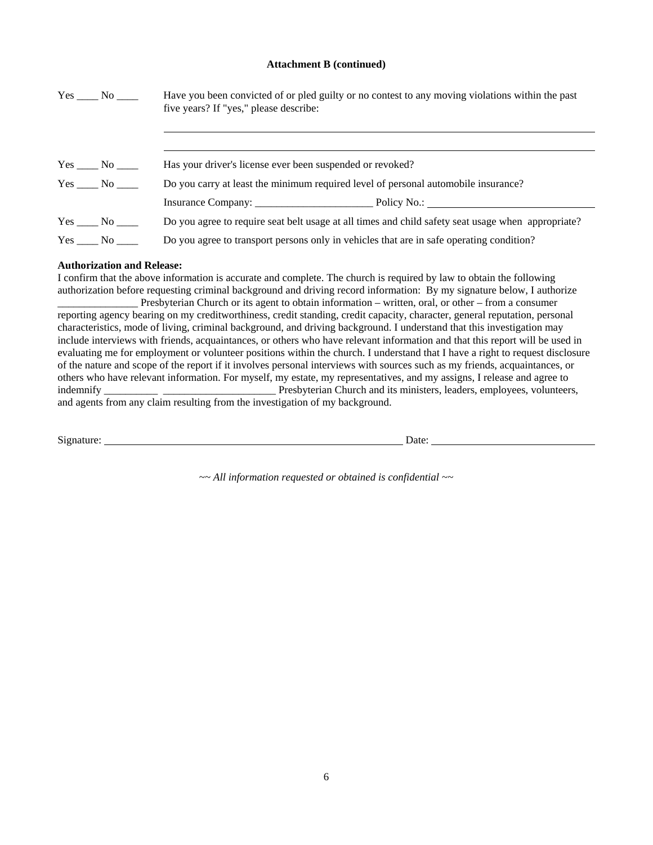## **Attachment B (continued)**

| $Yes \_ No \_$     | Have you been convicted of or pled guilty or no contest to any moving violations within the past<br>five years? If "yes," please describe: |  |
|--------------------|--------------------------------------------------------------------------------------------------------------------------------------------|--|
| $Yes \_\_ No \_\_$ | Has your driver's license ever been suspended or revoked?                                                                                  |  |
| Yes No             | Do you carry at least the minimum required level of personal automobile insurance?                                                         |  |
|                    |                                                                                                                                            |  |
| $Yes \_\_ No \_\_$ | Do you agree to require seat belt usage at all times and child safety seat usage when appropriate?                                         |  |
| Yes No             | Do you agree to transport persons only in vehicles that are in safe operating condition?                                                   |  |

# **Authorization and Release:**

I confirm that the above information is accurate and complete. The church is required by law to obtain the following authorization before requesting criminal background and driving record information: By my signature below, I authorize \_\_\_\_\_\_\_\_\_\_\_\_\_\_\_ Presbyterian Church or its agent to obtain information – written, oral, or other – from a consumer reporting agency bearing on my creditworthiness, credit standing, credit capacity, character, general reputation, personal characteristics, mode of living, criminal background, and driving background. I understand that this investigation may include interviews with friends, acquaintances, or others who have relevant information and that this report will be used in evaluating me for employment or volunteer positions within the church. I understand that I have a right to request disclosure of the nature and scope of the report if it involves personal interviews with sources such as my friends, acquaintances, or others who have relevant information. For myself, my estate, my representatives, and my assigns, I release and agree to indemnify \_\_\_\_\_\_\_\_\_\_ \_\_\_\_\_\_\_\_\_\_\_\_\_\_\_\_\_\_\_\_\_ Presbyterian Church and its ministers, leaders, employees, volunteers, and agents from any claim resulting from the investigation of my background.

Signature: Date: Date: Date: Date: Date: Date: Date: Date: Date: Date: Date: Date: Date: Date: Date: Date: Date: Date: Date: Date: Date: Date: Date: Date: Date: Date: Date: Date: Date: Date: Date: Date: Date: Date: Date: D

*~~ All information requested or obtained is confidential ~~*